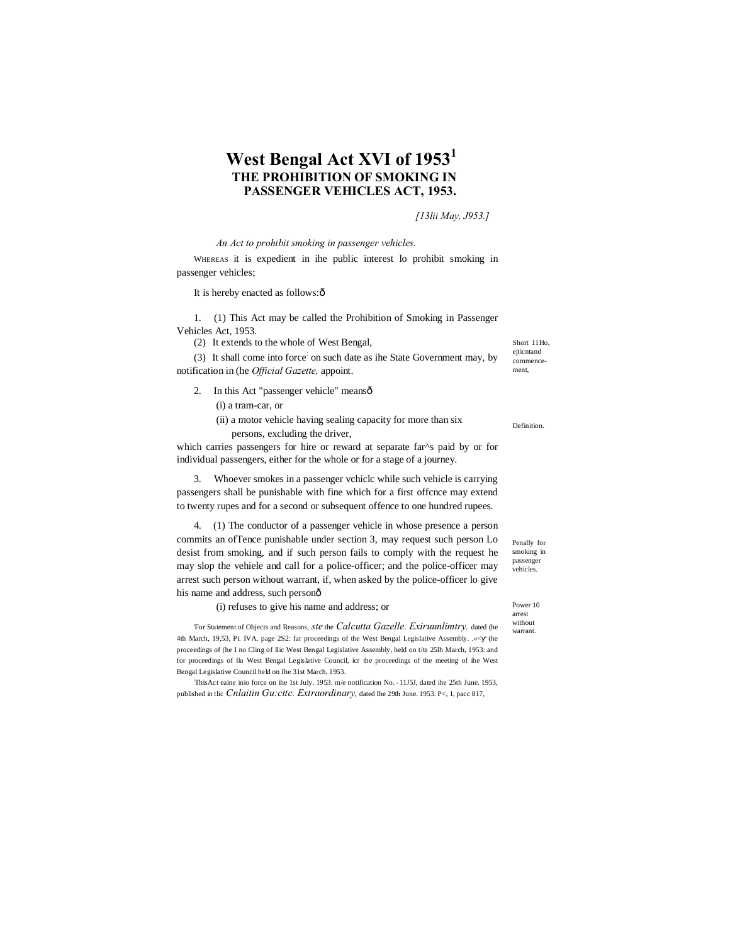# **West Bengal Act XVI of 1953<sup>1</sup> THE PROHIBITION OF SMOKING IN PASSENGER VEHICLES ACT, 1953.**

### *[13lii May, J953.]*

*An Act to prohibit smoking in passenger vehicles.*

WHEREAS it is expedient in ihe public interest lo prohibit smoking in passenger vehicles;

It is hereby enacted as follows: $\hat{o}$ 

1. (1) This Act may be called the Prohibition of Smoking in Passenger Vehicles Act, 1953.

(2) It extends to the whole of West Bengal,

(3) It shall come into force: on such date as ihe State Government may, by notification in (he *Official Gazette,* appoint.

2. In this Act "passenger vehicle" meansô

(i) a tram-car, or

(ii) a motor vehicle having sealing capacity for more than six persons, excluding the driver,

which carries passengers for hire or reward at separate far^s paid by or for individual passengers, either for the whole or for a stage of a journey.

3. Whoever smokes in a passenger vchiclc while such vehicle is carrying passengers shall be punishable with fine which for a first offcnce may extend to twenty rupes and for a second or subsequent offence to one hundred rupees.

4. (1) The conductor of a passenger vehicle in whose presence a person commits an ofTence punishable under section 3, may request such person Lo desist from smoking, and if such person fails to comply with the request he may slop the vehiele and call for a police-officer; and the police-officer may arrest such person without warrant, if, when asked by the police-officer lo give his name and address, such personô

(i) refuses to give his name and address; or

'For Statement of Objects and Reasons, *ste* the *Calcutta Gazelle. Exiruunlimtry.* dated (he 4th March, 19,53, Pi. IVA. page 2S2: far proceedings of the West Bengal Legislative Assembly. .«< (he proceedings of (he I no Cling of llic West Bengal Legislative Assembly, held on t/te 25lh March, 1953: and for proceedings of llu West Bengal Legislative Council, icr the proceedings of the meeting of ihe West Bengal Legislative Council held on Ihe 31st March, 1953.

: ThisAct eaine inio force on ihe 1st July. 1953. m/e notification No. -11J5J, dated ihe 25th June. 1953, published in tlic *Cnlaitin Gu:cttc. Extraordinary*, dated Ihe 29th June. 1953. P<, 1, pacc 817,

Short 11Ho, ejticntand commencement,

Definition.

Penally for smoking in passenger vehicles.

Power 10 arrest without warrant